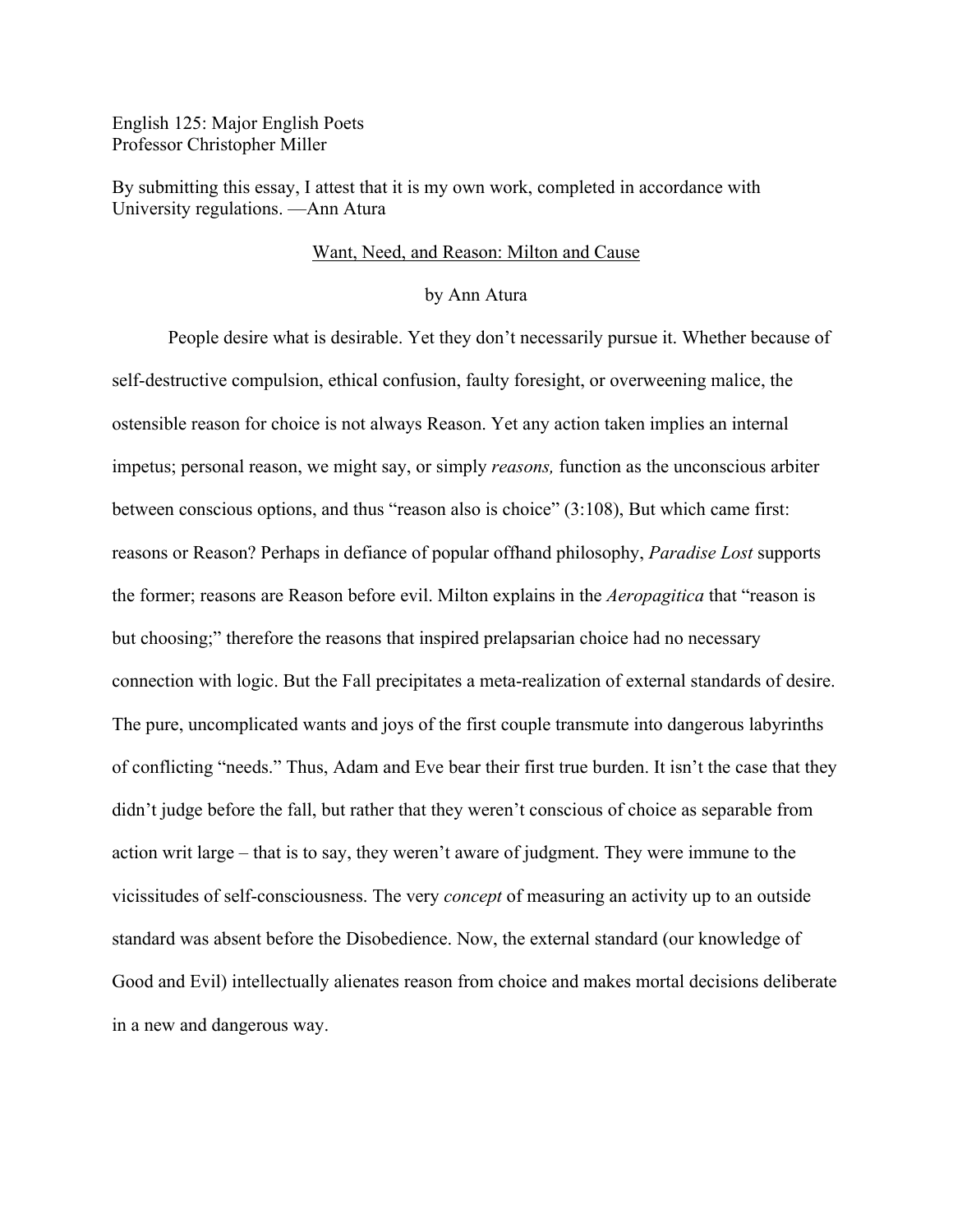English 125: Major English Poets Professor Christopher Miller

By submitting this essay, I attest that it is my own work, completed in accordance with University regulations. —Ann Atura

## Want, Need, and Reason: Milton and Cause

## by Ann Atura

People desire what is desirable. Yet they don't necessarily pursue it. Whether because of self-destructive compulsion, ethical confusion, faulty foresight, or overweening malice, the ostensible reason for choice is not always Reason. Yet any action taken implies an internal impetus; personal reason, we might say, or simply *reasons,* function as the unconscious arbiter between conscious options, and thus "reason also is choice" (3:108), But which came first: reasons or Reason? Perhaps in defiance of popular offhand philosophy, *Paradise Lost* supports the former; reasons are Reason before evil. Milton explains in the *Aeropagitica* that "reason is but choosing;" therefore the reasons that inspired prelapsarian choice had no necessary connection with logic. But the Fall precipitates a meta-realization of external standards of desire. The pure, uncomplicated wants and joys of the first couple transmute into dangerous labyrinths of conflicting "needs." Thus, Adam and Eve bear their first true burden. It isn't the case that they didn't judge before the fall, but rather that they weren't conscious of choice as separable from action writ large – that is to say, they weren't aware of judgment. They were immune to the vicissitudes of self-consciousness. The very *concept* of measuring an activity up to an outside standard was absent before the Disobedience. Now, the external standard (our knowledge of Good and Evil) intellectually alienates reason from choice and makes mortal decisions deliberate in a new and dangerous way.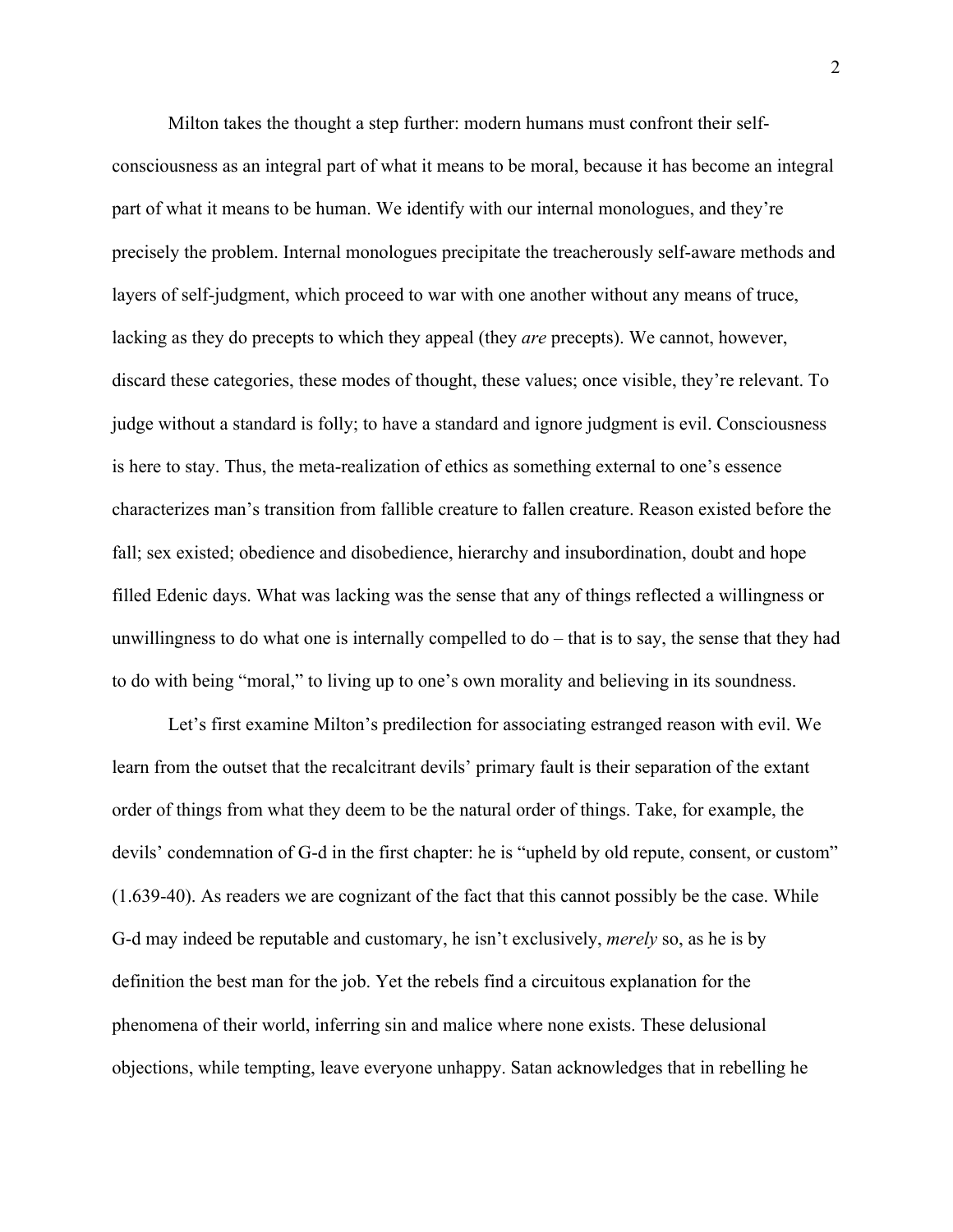Milton takes the thought a step further: modern humans must confront their selfconsciousness as an integral part of what it means to be moral, because it has become an integral part of what it means to be human. We identify with our internal monologues, and they're precisely the problem. Internal monologues precipitate the treacherously self-aware methods and layers of self-judgment, which proceed to war with one another without any means of truce, lacking as they do precepts to which they appeal (they *are* precepts). We cannot, however, discard these categories, these modes of thought, these values; once visible, they're relevant. To judge without a standard is folly; to have a standard and ignore judgment is evil. Consciousness is here to stay. Thus, the meta-realization of ethics as something external to one's essence characterizes man's transition from fallible creature to fallen creature. Reason existed before the fall; sex existed; obedience and disobedience, hierarchy and insubordination, doubt and hope filled Edenic days. What was lacking was the sense that any of things reflected a willingness or unwillingness to do what one is internally compelled to do – that is to say, the sense that they had to do with being "moral," to living up to one's own morality and believing in its soundness.

Let's first examine Milton's predilection for associating estranged reason with evil. We learn from the outset that the recalcitrant devils' primary fault is their separation of the extant order of things from what they deem to be the natural order of things. Take, for example, the devils' condemnation of G-d in the first chapter: he is "upheld by old repute, consent, or custom" (1.639-40). As readers we are cognizant of the fact that this cannot possibly be the case. While G-d may indeed be reputable and customary, he isn't exclusively, *merely* so, as he is by definition the best man for the job. Yet the rebels find a circuitous explanation for the phenomena of their world, inferring sin and malice where none exists. These delusional objections, while tempting, leave everyone unhappy. Satan acknowledges that in rebelling he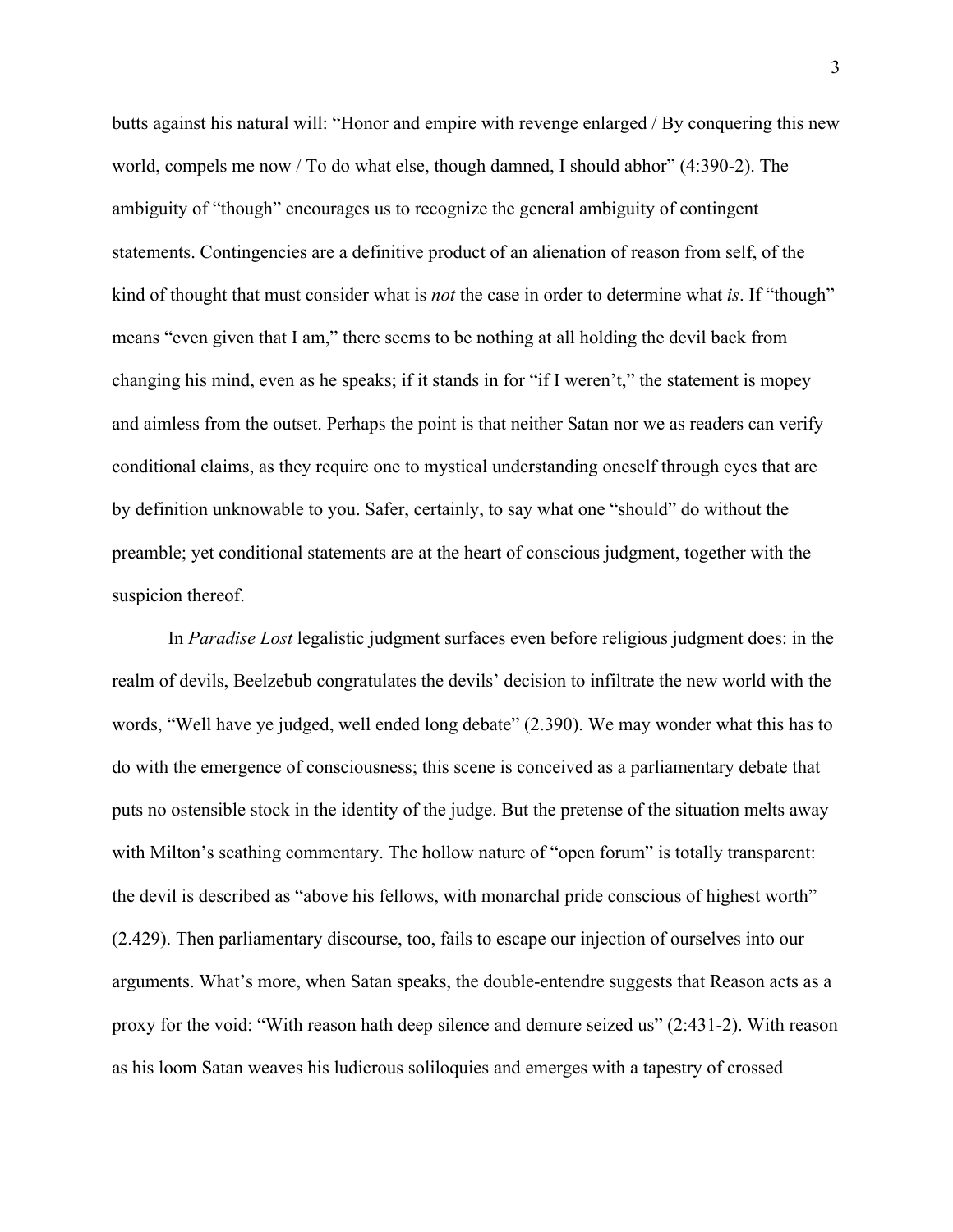butts against his natural will: "Honor and empire with revenge enlarged / By conquering this new world, compels me now / To do what else, though damned, I should abhor" (4:390-2). The ambiguity of "though" encourages us to recognize the general ambiguity of contingent statements. Contingencies are a definitive product of an alienation of reason from self, of the kind of thought that must consider what is *not* the case in order to determine what *is*. If "though" means "even given that I am," there seems to be nothing at all holding the devil back from changing his mind, even as he speaks; if it stands in for "if I weren't," the statement is mopey and aimless from the outset. Perhaps the point is that neither Satan nor we as readers can verify conditional claims, as they require one to mystical understanding oneself through eyes that are by definition unknowable to you. Safer, certainly, to say what one "should" do without the preamble; yet conditional statements are at the heart of conscious judgment, together with the suspicion thereof.

In *Paradise Lost* legalistic judgment surfaces even before religious judgment does: in the realm of devils, Beelzebub congratulates the devils' decision to infiltrate the new world with the words, "Well have ye judged, well ended long debate" (2.390). We may wonder what this has to do with the emergence of consciousness; this scene is conceived as a parliamentary debate that puts no ostensible stock in the identity of the judge. But the pretense of the situation melts away with Milton's scathing commentary. The hollow nature of "open forum" is totally transparent: the devil is described as "above his fellows, with monarchal pride conscious of highest worth" (2.429). Then parliamentary discourse, too, fails to escape our injection of ourselves into our arguments. What's more, when Satan speaks, the double-entendre suggests that Reason acts as a proxy for the void: "With reason hath deep silence and demure seized us" (2:431-2). With reason as his loom Satan weaves his ludicrous soliloquies and emerges with a tapestry of crossed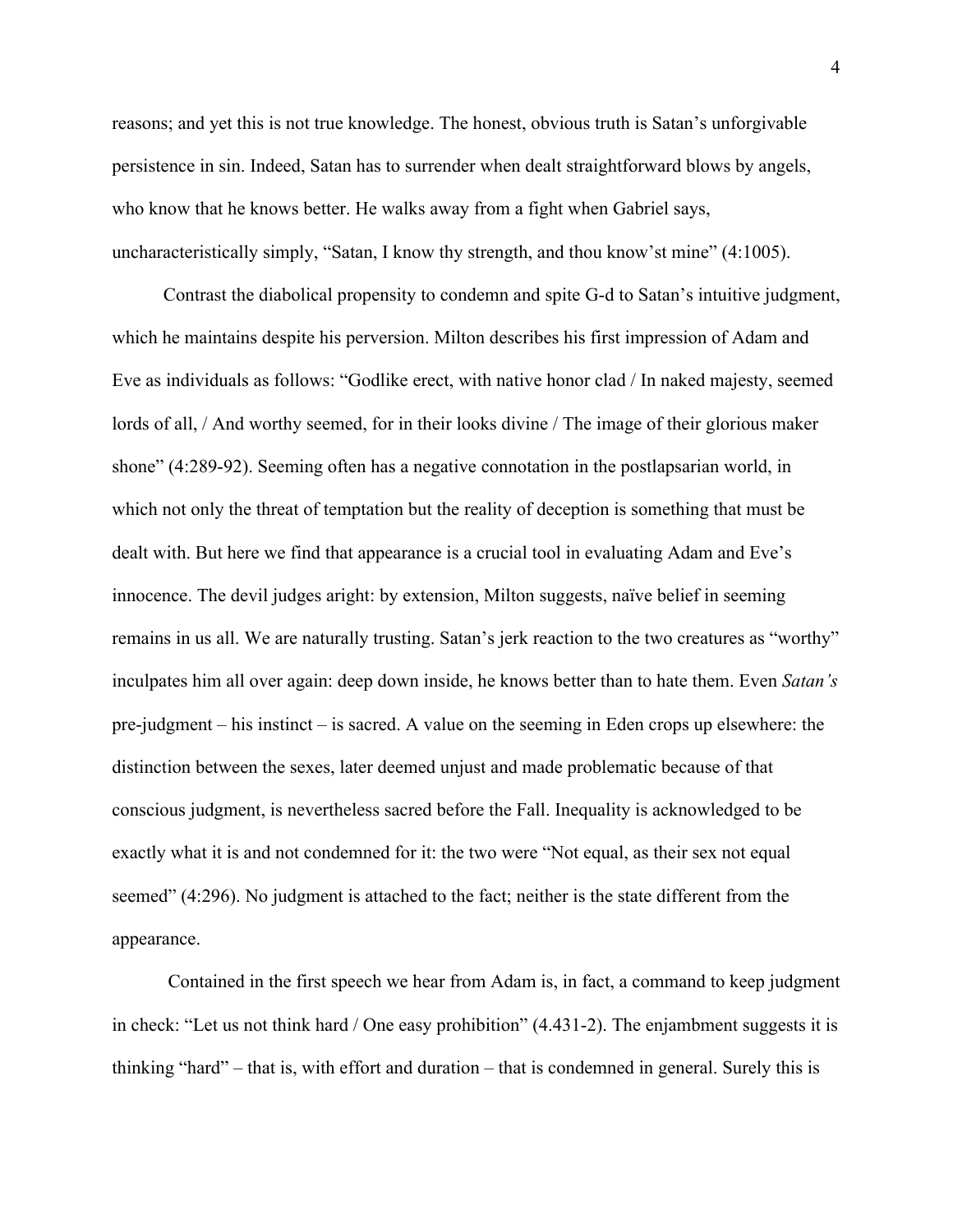reasons; and yet this is not true knowledge. The honest, obvious truth is Satan's unforgivable persistence in sin. Indeed, Satan has to surrender when dealt straightforward blows by angels, who know that he knows better. He walks away from a fight when Gabriel says, uncharacteristically simply, "Satan, I know thy strength, and thou know'st mine" (4:1005).

Contrast the diabolical propensity to condemn and spite G-d to Satan's intuitive judgment, which he maintains despite his perversion. Milton describes his first impression of Adam and Eve as individuals as follows: "Godlike erect, with native honor clad / In naked majesty, seemed lords of all, / And worthy seemed, for in their looks divine / The image of their glorious maker shone" (4:289-92). Seeming often has a negative connotation in the postlapsarian world, in which not only the threat of temptation but the reality of deception is something that must be dealt with. But here we find that appearance is a crucial tool in evaluating Adam and Eve's innocence. The devil judges aright: by extension, Milton suggests, naïve belief in seeming remains in us all. We are naturally trusting. Satan's jerk reaction to the two creatures as "worthy" inculpates him all over again: deep down inside, he knows better than to hate them. Even *Satan's* pre-judgment – his instinct – is sacred. A value on the seeming in Eden crops up elsewhere: the distinction between the sexes, later deemed unjust and made problematic because of that conscious judgment, is nevertheless sacred before the Fall. Inequality is acknowledged to be exactly what it is and not condemned for it: the two were "Not equal, as their sex not equal seemed" (4:296). No judgment is attached to the fact; neither is the state different from the appearance.

Contained in the first speech we hear from Adam is, in fact, a command to keep judgment in check: "Let us not think hard / One easy prohibition" (4.431-2). The enjambment suggests it is thinking "hard" – that is, with effort and duration – that is condemned in general. Surely this is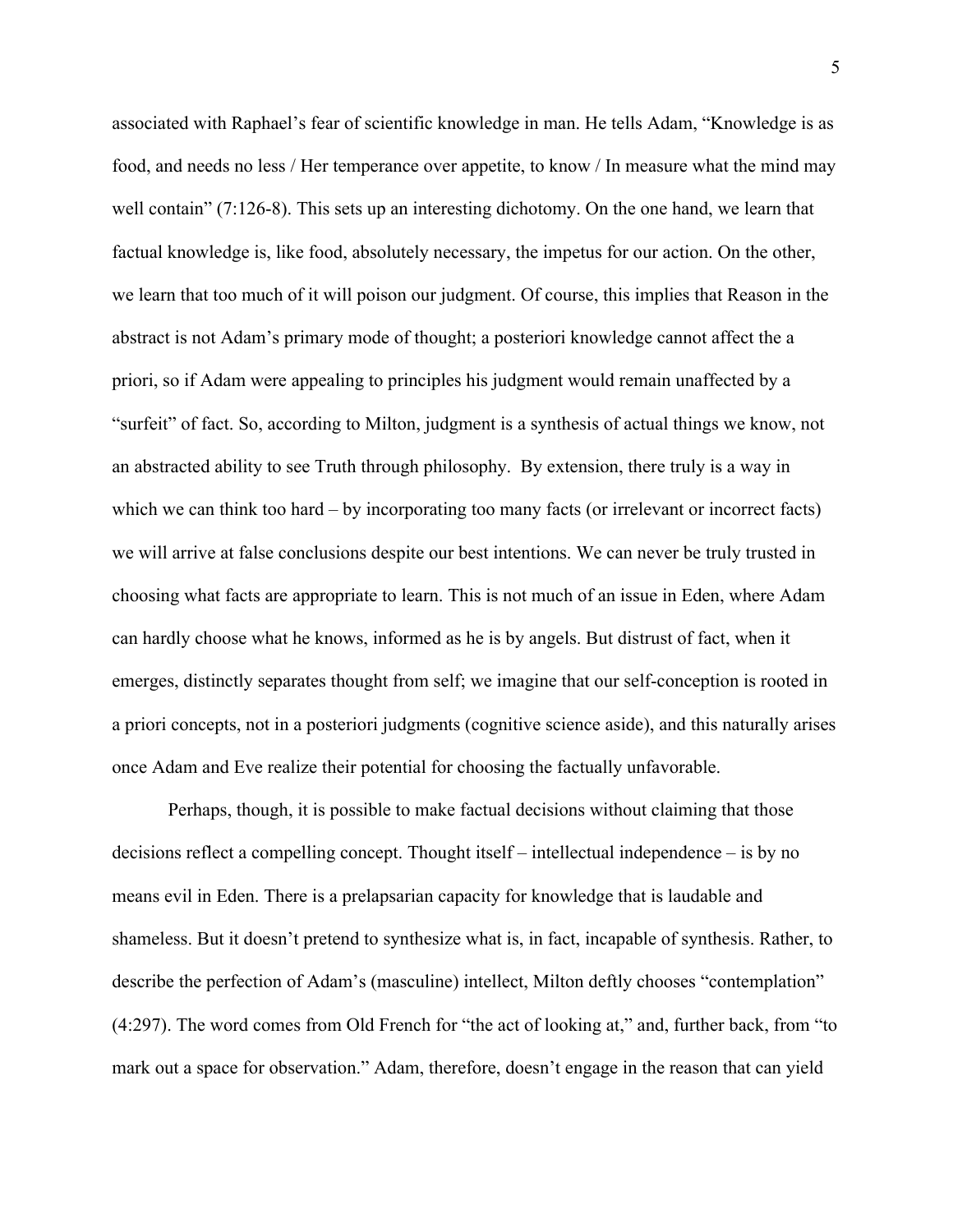associated with Raphael's fear of scientific knowledge in man. He tells Adam, "Knowledge is as food, and needs no less / Her temperance over appetite, to know / In measure what the mind may well contain" (7:126-8). This sets up an interesting dichotomy. On the one hand, we learn that factual knowledge is, like food, absolutely necessary, the impetus for our action. On the other, we learn that too much of it will poison our judgment. Of course, this implies that Reason in the abstract is not Adam's primary mode of thought; a posteriori knowledge cannot affect the a priori, so if Adam were appealing to principles his judgment would remain unaffected by a "surfeit" of fact. So, according to Milton, judgment is a synthesis of actual things we know, not an abstracted ability to see Truth through philosophy. By extension, there truly is a way in which we can think too hard – by incorporating too many facts (or irrelevant or incorrect facts) we will arrive at false conclusions despite our best intentions. We can never be truly trusted in choosing what facts are appropriate to learn. This is not much of an issue in Eden, where Adam can hardly choose what he knows, informed as he is by angels. But distrust of fact, when it emerges, distinctly separates thought from self; we imagine that our self-conception is rooted in a priori concepts, not in a posteriori judgments (cognitive science aside), and this naturally arises once Adam and Eve realize their potential for choosing the factually unfavorable.

Perhaps, though, it is possible to make factual decisions without claiming that those decisions reflect a compelling concept. Thought itself – intellectual independence – is by no means evil in Eden. There is a prelapsarian capacity for knowledge that is laudable and shameless. But it doesn't pretend to synthesize what is, in fact, incapable of synthesis. Rather, to describe the perfection of Adam's (masculine) intellect, Milton deftly chooses "contemplation" (4:297). The word comes from Old French for "the act of looking at," and, further back, from "to mark out a space for observation." Adam, therefore, doesn't engage in the reason that can yield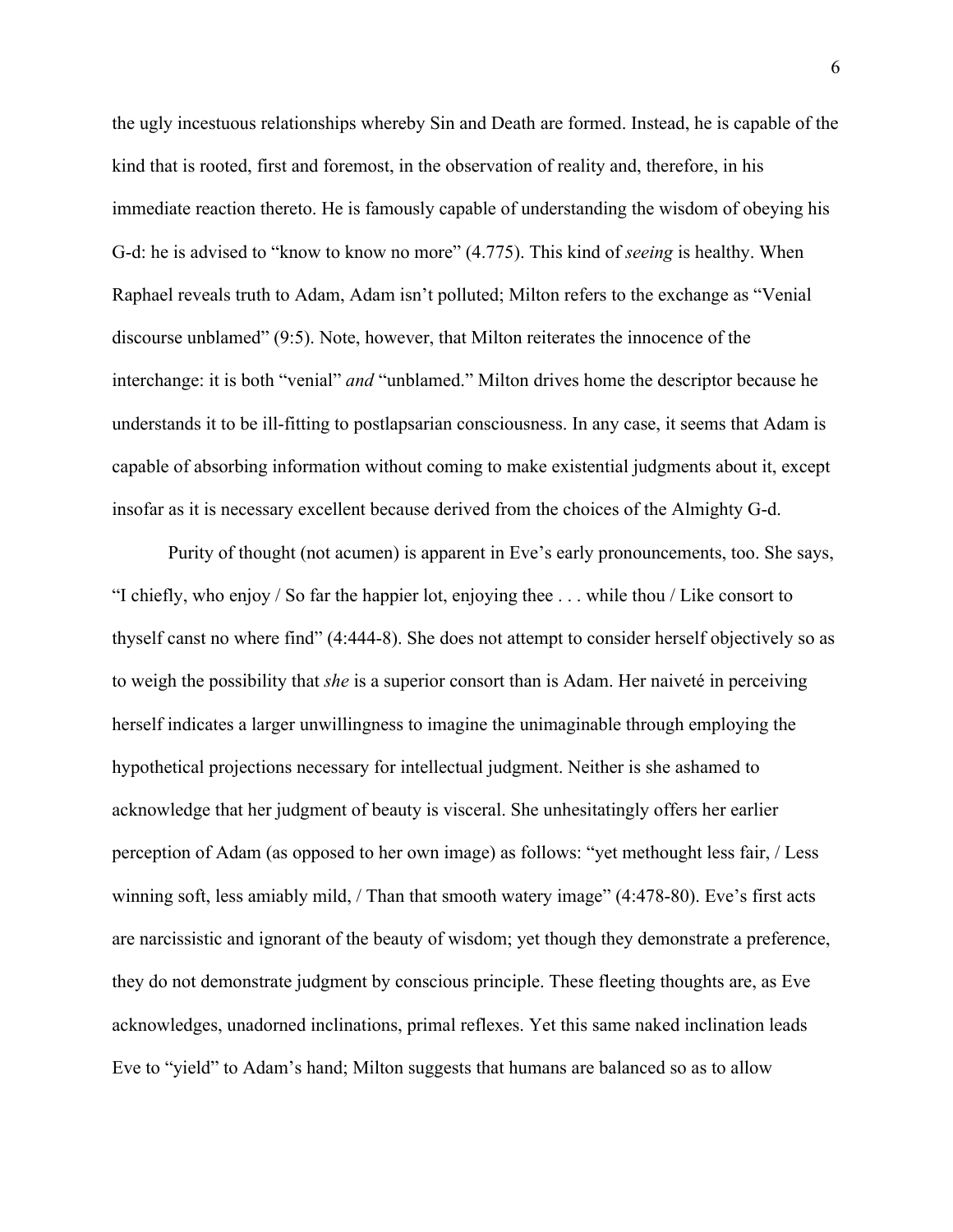the ugly incestuous relationships whereby Sin and Death are formed. Instead, he is capable of the kind that is rooted, first and foremost, in the observation of reality and, therefore, in his immediate reaction thereto. He is famously capable of understanding the wisdom of obeying his G-d: he is advised to "know to know no more" (4.775). This kind of *seeing* is healthy. When Raphael reveals truth to Adam, Adam isn't polluted; Milton refers to the exchange as "Venial discourse unblamed" (9:5). Note, however, that Milton reiterates the innocence of the interchange: it is both "venial" *and* "unblamed." Milton drives home the descriptor because he understands it to be ill-fitting to postlapsarian consciousness. In any case, it seems that Adam is capable of absorbing information without coming to make existential judgments about it, except insofar as it is necessary excellent because derived from the choices of the Almighty G-d.

Purity of thought (not acumen) is apparent in Eve's early pronouncements, too. She says, "I chiefly, who enjoy / So far the happier lot, enjoying thee . . . while thou / Like consort to thyself canst no where find" (4:444-8). She does not attempt to consider herself objectively so as to weigh the possibility that *she* is a superior consort than is Adam. Her naiveté in perceiving herself indicates a larger unwillingness to imagine the unimaginable through employing the hypothetical projections necessary for intellectual judgment. Neither is she ashamed to acknowledge that her judgment of beauty is visceral. She unhesitatingly offers her earlier perception of Adam (as opposed to her own image) as follows: "yet methought less fair, / Less winning soft, less amiably mild, / Than that smooth watery image" (4:478-80). Eve's first acts are narcissistic and ignorant of the beauty of wisdom; yet though they demonstrate a preference, they do not demonstrate judgment by conscious principle. These fleeting thoughts are, as Eve acknowledges, unadorned inclinations, primal reflexes. Yet this same naked inclination leads Eve to "yield" to Adam's hand; Milton suggests that humans are balanced so as to allow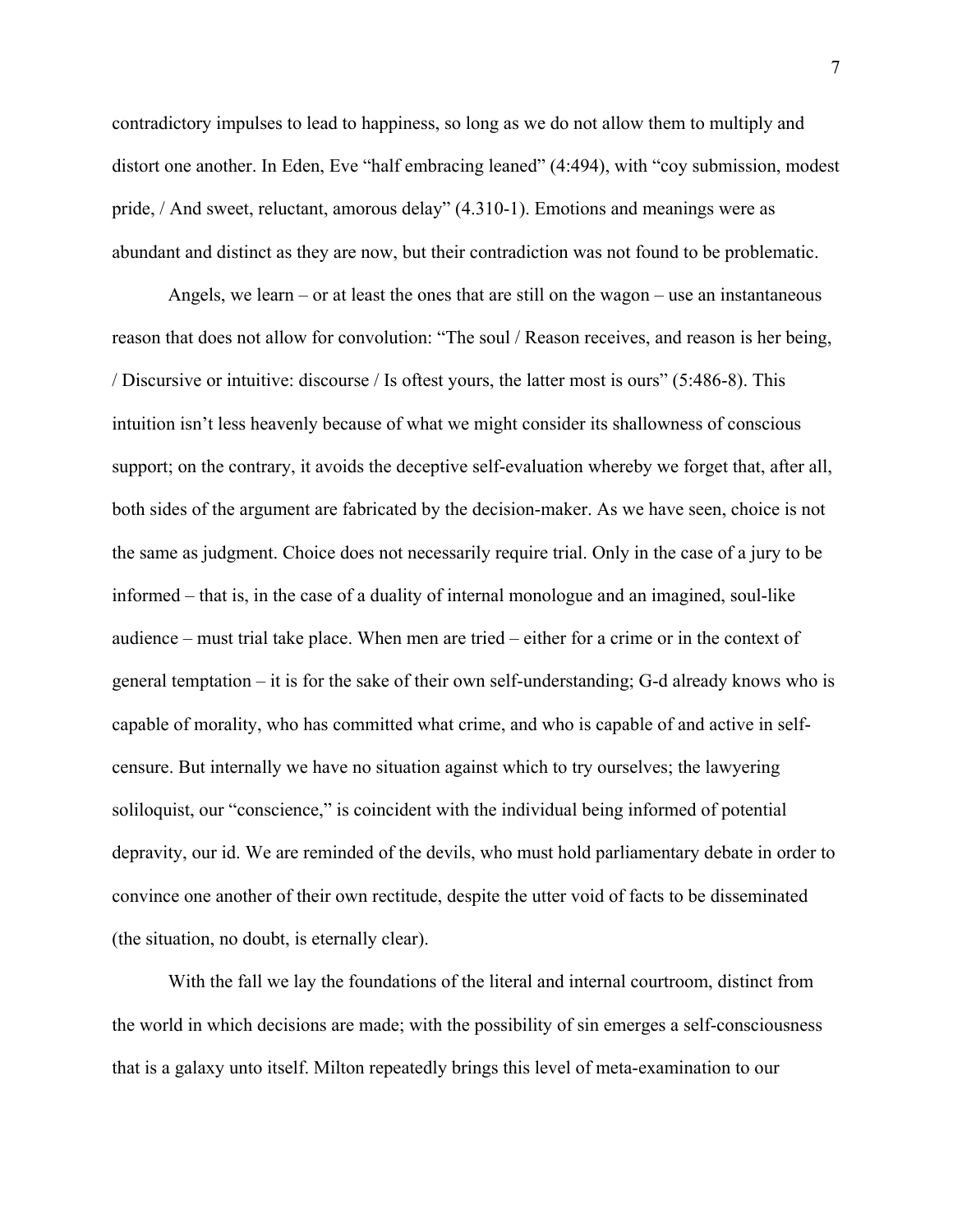contradictory impulses to lead to happiness, so long as we do not allow them to multiply and distort one another. In Eden, Eve "half embracing leaned" (4:494), with "coy submission, modest pride, / And sweet, reluctant, amorous delay" (4.310-1). Emotions and meanings were as abundant and distinct as they are now, but their contradiction was not found to be problematic.

Angels, we learn – or at least the ones that are still on the wagon – use an instantaneous reason that does not allow for convolution: "The soul / Reason receives, and reason is her being, / Discursive or intuitive: discourse / Is oftest yours, the latter most is ours" (5:486-8). This intuition isn't less heavenly because of what we might consider its shallowness of conscious support; on the contrary, it avoids the deceptive self-evaluation whereby we forget that, after all, both sides of the argument are fabricated by the decision-maker. As we have seen, choice is not the same as judgment. Choice does not necessarily require trial. Only in the case of a jury to be informed – that is, in the case of a duality of internal monologue and an imagined, soul-like audience – must trial take place. When men are tried – either for a crime or in the context of general temptation – it is for the sake of their own self-understanding; G-d already knows who is capable of morality, who has committed what crime, and who is capable of and active in selfcensure. But internally we have no situation against which to try ourselves; the lawyering soliloquist, our "conscience," is coincident with the individual being informed of potential depravity, our id. We are reminded of the devils, who must hold parliamentary debate in order to convince one another of their own rectitude, despite the utter void of facts to be disseminated (the situation, no doubt, is eternally clear).

With the fall we lay the foundations of the literal and internal courtroom, distinct from the world in which decisions are made; with the possibility of sin emerges a self-consciousness that is a galaxy unto itself. Milton repeatedly brings this level of meta-examination to our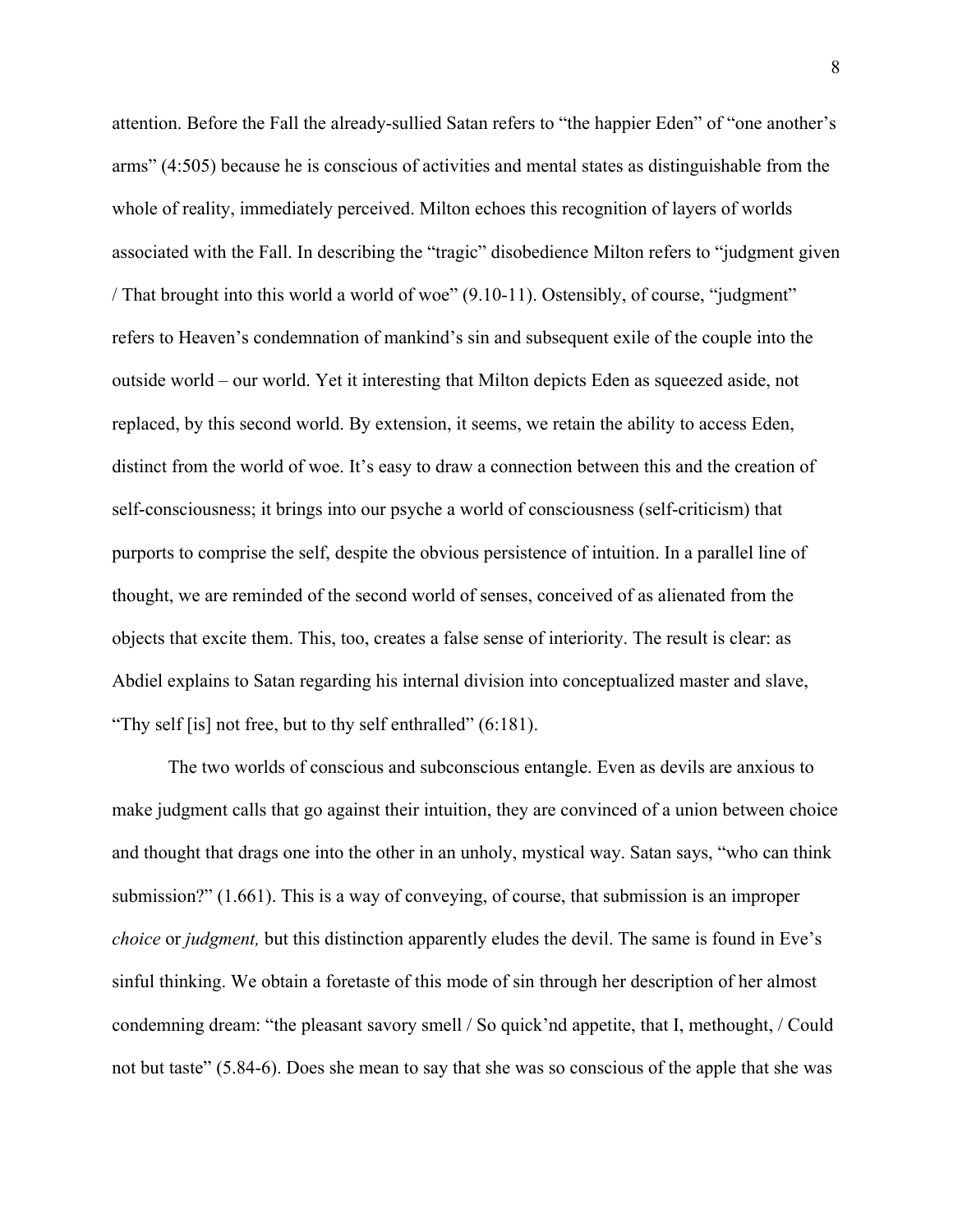attention. Before the Fall the already-sullied Satan refers to "the happier Eden" of "one another's arms" (4:505) because he is conscious of activities and mental states as distinguishable from the whole of reality, immediately perceived. Milton echoes this recognition of layers of worlds associated with the Fall. In describing the "tragic" disobedience Milton refers to "judgment given / That brought into this world a world of woe" (9.10-11). Ostensibly, of course, "judgment" refers to Heaven's condemnation of mankind's sin and subsequent exile of the couple into the outside world – our world. Yet it interesting that Milton depicts Eden as squeezed aside, not replaced, by this second world. By extension, it seems, we retain the ability to access Eden, distinct from the world of woe. It's easy to draw a connection between this and the creation of self-consciousness; it brings into our psyche a world of consciousness (self-criticism) that purports to comprise the self, despite the obvious persistence of intuition. In a parallel line of thought, we are reminded of the second world of senses, conceived of as alienated from the objects that excite them. This, too, creates a false sense of interiority. The result is clear: as Abdiel explains to Satan regarding his internal division into conceptualized master and slave, "Thy self [is] not free, but to thy self enthralled" (6:181).

The two worlds of conscious and subconscious entangle. Even as devils are anxious to make judgment calls that go against their intuition, they are convinced of a union between choice and thought that drags one into the other in an unholy, mystical way. Satan says, "who can think submission?" (1.661). This is a way of conveying, of course, that submission is an improper *choice* or *judgment*, but this distinction apparently eludes the devil. The same is found in Eve's sinful thinking. We obtain a foretaste of this mode of sin through her description of her almost condemning dream: "the pleasant savory smell / So quick'nd appetite, that I, methought, / Could not but taste" (5.84-6). Does she mean to say that she was so conscious of the apple that she was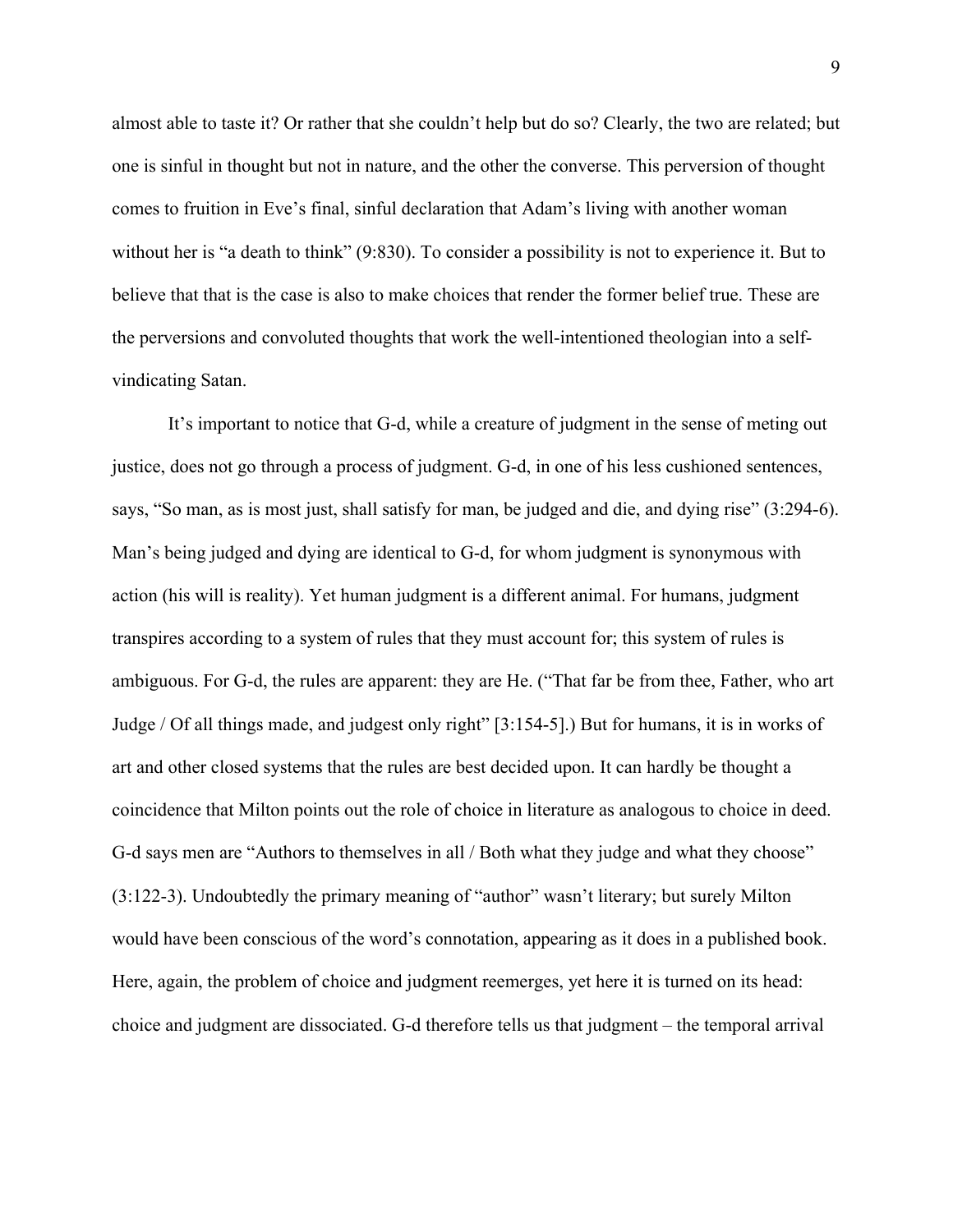almost able to taste it? Or rather that she couldn't help but do so? Clearly, the two are related; but one is sinful in thought but not in nature, and the other the converse. This perversion of thought comes to fruition in Eve's final, sinful declaration that Adam's living with another woman without her is "a death to think" (9:830). To consider a possibility is not to experience it. But to believe that that is the case is also to make choices that render the former belief true. These are the perversions and convoluted thoughts that work the well-intentioned theologian into a selfvindicating Satan.

It's important to notice that G-d, while a creature of judgment in the sense of meting out justice, does not go through a process of judgment. G-d, in one of his less cushioned sentences, says, "So man, as is most just, shall satisfy for man, be judged and die, and dying rise" (3:294-6). Man's being judged and dying are identical to G-d, for whom judgment is synonymous with action (his will is reality). Yet human judgment is a different animal. For humans, judgment transpires according to a system of rules that they must account for; this system of rules is ambiguous. For G-d, the rules are apparent: they are He. ("That far be from thee, Father, who art Judge / Of all things made, and judgest only right" [3:154-5].) But for humans, it is in works of art and other closed systems that the rules are best decided upon. It can hardly be thought a coincidence that Milton points out the role of choice in literature as analogous to choice in deed. G-d says men are "Authors to themselves in all / Both what they judge and what they choose" (3:122-3). Undoubtedly the primary meaning of "author" wasn't literary; but surely Milton would have been conscious of the word's connotation, appearing as it does in a published book. Here, again, the problem of choice and judgment reemerges, yet here it is turned on its head: choice and judgment are dissociated. G-d therefore tells us that judgment – the temporal arrival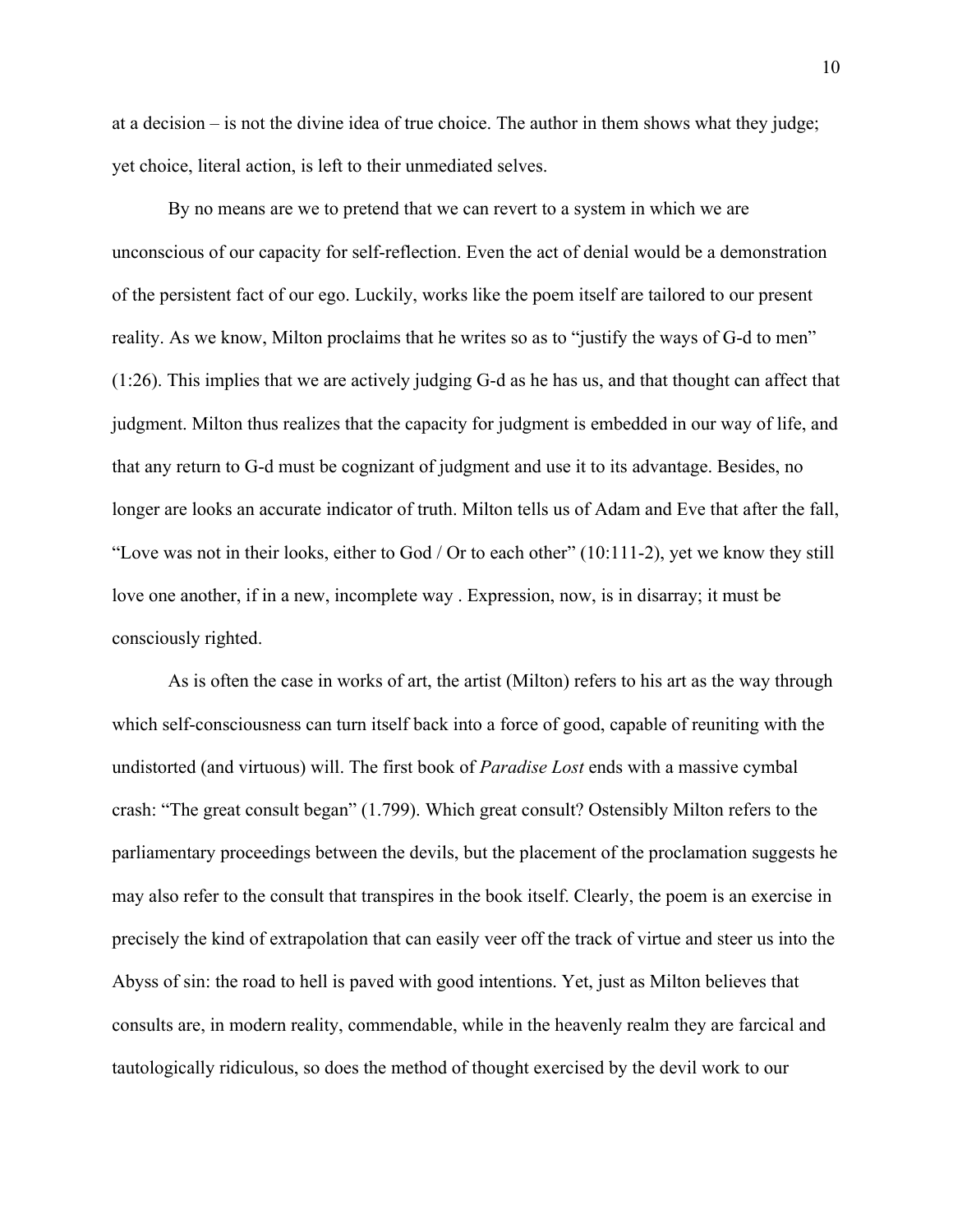at a decision – is not the divine idea of true choice. The author in them shows what they judge; yet choice, literal action, is left to their unmediated selves.

By no means are we to pretend that we can revert to a system in which we are unconscious of our capacity for self-reflection. Even the act of denial would be a demonstration of the persistent fact of our ego. Luckily, works like the poem itself are tailored to our present reality. As we know, Milton proclaims that he writes so as to "justify the ways of G-d to men" (1:26). This implies that we are actively judging G-d as he has us, and that thought can affect that judgment. Milton thus realizes that the capacity for judgment is embedded in our way of life, and that any return to G-d must be cognizant of judgment and use it to its advantage. Besides, no longer are looks an accurate indicator of truth. Milton tells us of Adam and Eve that after the fall, "Love was not in their looks, either to God / Or to each other"  $(10:111-2)$ , yet we know they still love one another, if in a new, incomplete way . Expression, now, is in disarray; it must be consciously righted.

As is often the case in works of art, the artist (Milton) refers to his art as the way through which self-consciousness can turn itself back into a force of good, capable of reuniting with the undistorted (and virtuous) will. The first book of *Paradise Lost* ends with a massive cymbal crash: "The great consult began" (1.799). Which great consult? Ostensibly Milton refers to the parliamentary proceedings between the devils, but the placement of the proclamation suggests he may also refer to the consult that transpires in the book itself. Clearly, the poem is an exercise in precisely the kind of extrapolation that can easily veer off the track of virtue and steer us into the Abyss of sin: the road to hell is paved with good intentions. Yet, just as Milton believes that consults are, in modern reality, commendable, while in the heavenly realm they are farcical and tautologically ridiculous, so does the method of thought exercised by the devil work to our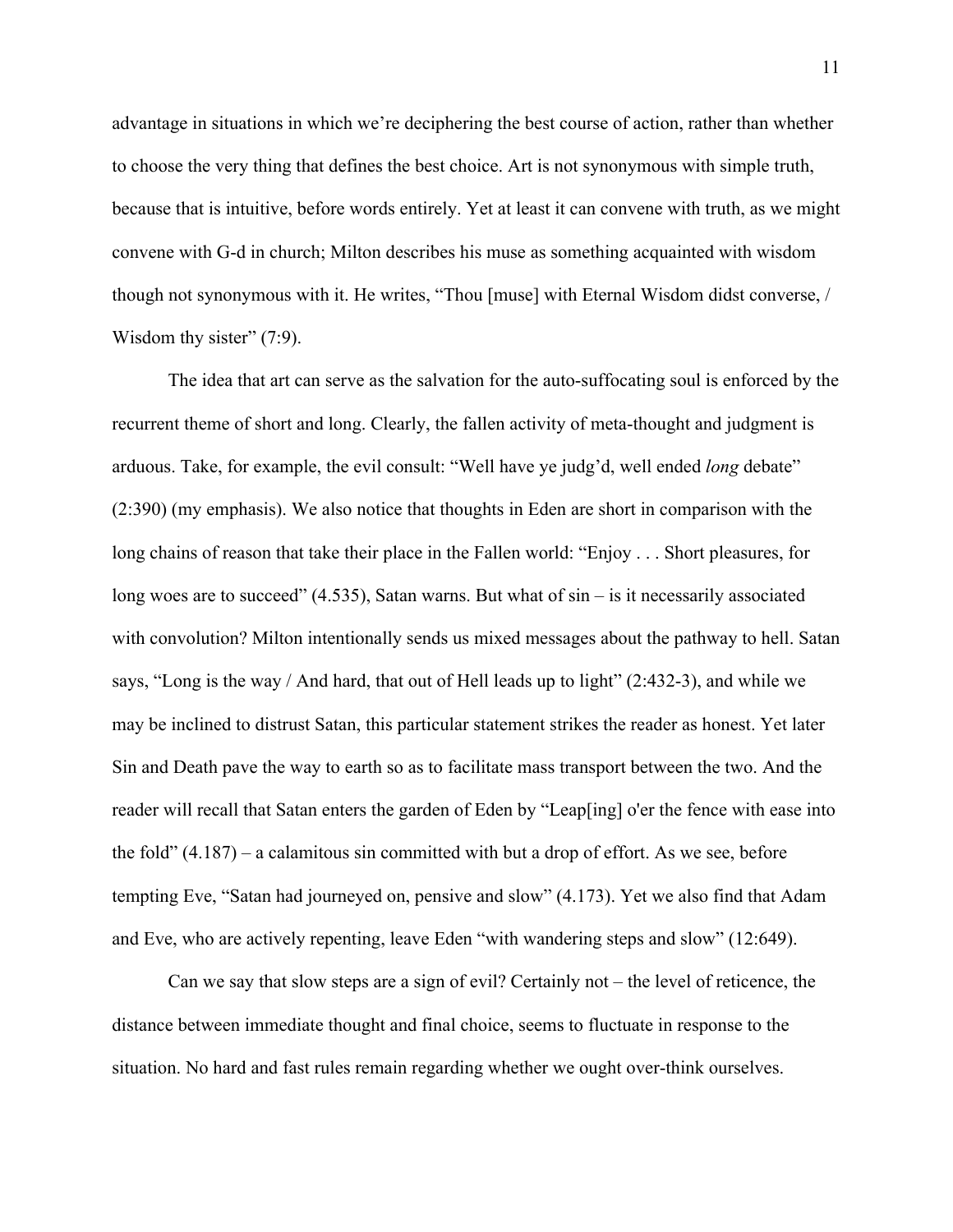advantage in situations in which we're deciphering the best course of action, rather than whether to choose the very thing that defines the best choice. Art is not synonymous with simple truth, because that is intuitive, before words entirely. Yet at least it can convene with truth, as we might convene with G-d in church; Milton describes his muse as something acquainted with wisdom though not synonymous with it. He writes, "Thou [muse] with Eternal Wisdom didst converse, / Wisdom thy sister" (7:9).

The idea that art can serve as the salvation for the auto-suffocating soul is enforced by the recurrent theme of short and long. Clearly, the fallen activity of meta-thought and judgment is arduous. Take, for example, the evil consult: "Well have ye judg'd, well ended *long* debate" (2:390) (my emphasis). We also notice that thoughts in Eden are short in comparison with the long chains of reason that take their place in the Fallen world: "Enjoy . . . Short pleasures, for long woes are to succeed"  $(4.535)$ , Satan warns. But what of  $\sin - i\sin$  it necessarily associated with convolution? Milton intentionally sends us mixed messages about the pathway to hell. Satan says, "Long is the way / And hard, that out of Hell leads up to light" (2:432-3), and while we may be inclined to distrust Satan, this particular statement strikes the reader as honest. Yet later Sin and Death pave the way to earth so as to facilitate mass transport between the two. And the reader will recall that Satan enters the garden of Eden by "Leap[ing] o'er the fence with ease into the fold" (4.187) – a calamitous sin committed with but a drop of effort. As we see, before tempting Eve, "Satan had journeyed on, pensive and slow" (4.173). Yet we also find that Adam and Eve, who are actively repenting, leave Eden "with wandering steps and slow" (12:649).

Can we say that slow steps are a sign of evil? Certainly not – the level of reticence, the distance between immediate thought and final choice, seems to fluctuate in response to the situation. No hard and fast rules remain regarding whether we ought over-think ourselves.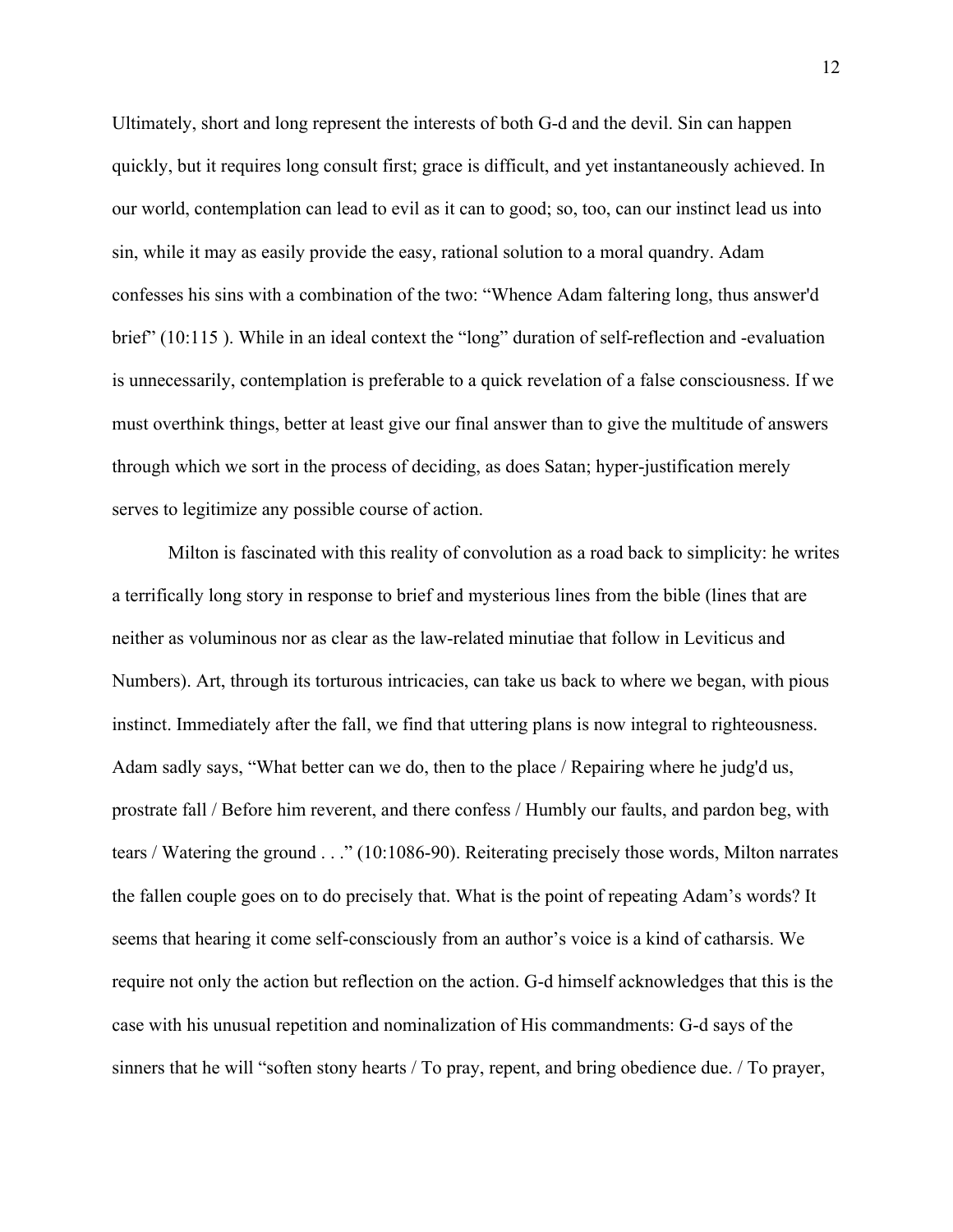Ultimately, short and long represent the interests of both G-d and the devil. Sin can happen quickly, but it requires long consult first; grace is difficult, and yet instantaneously achieved. In our world, contemplation can lead to evil as it can to good; so, too, can our instinct lead us into sin, while it may as easily provide the easy, rational solution to a moral quandry. Adam confesses his sins with a combination of the two: "Whence Adam faltering long, thus answer'd brief" (10:115 ). While in an ideal context the "long" duration of self-reflection and -evaluation is unnecessarily, contemplation is preferable to a quick revelation of a false consciousness. If we must overthink things, better at least give our final answer than to give the multitude of answers through which we sort in the process of deciding, as does Satan; hyper-justification merely serves to legitimize any possible course of action.

Milton is fascinated with this reality of convolution as a road back to simplicity: he writes a terrifically long story in response to brief and mysterious lines from the bible (lines that are neither as voluminous nor as clear as the law-related minutiae that follow in Leviticus and Numbers). Art, through its torturous intricacies, can take us back to where we began, with pious instinct. Immediately after the fall, we find that uttering plans is now integral to righteousness. Adam sadly says, "What better can we do, then to the place / Repairing where he judg'd us, prostrate fall / Before him reverent, and there confess / Humbly our faults, and pardon beg, with tears / Watering the ground . . ." (10:1086-90). Reiterating precisely those words, Milton narrates the fallen couple goes on to do precisely that. What is the point of repeating Adam's words? It seems that hearing it come self-consciously from an author's voice is a kind of catharsis. We require not only the action but reflection on the action. G-d himself acknowledges that this is the case with his unusual repetition and nominalization of His commandments: G-d says of the sinners that he will "soften stony hearts / To pray, repent, and bring obedience due. / To prayer,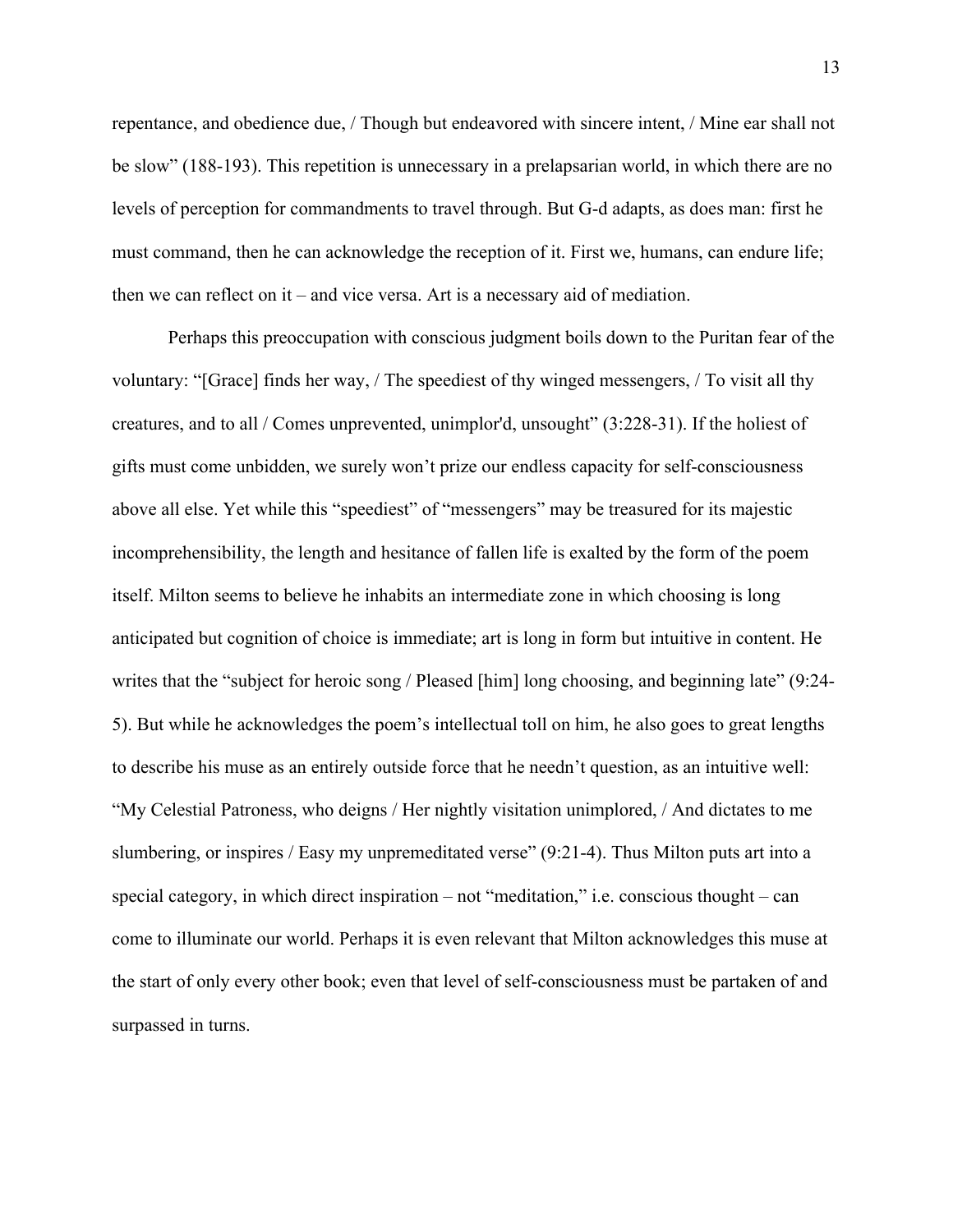repentance, and obedience due, / Though but endeavored with sincere intent, / Mine ear shall not be slow" (188-193). This repetition is unnecessary in a prelapsarian world, in which there are no levels of perception for commandments to travel through. But G-d adapts, as does man: first he must command, then he can acknowledge the reception of it. First we, humans, can endure life; then we can reflect on it – and vice versa. Art is a necessary aid of mediation.

Perhaps this preoccupation with conscious judgment boils down to the Puritan fear of the voluntary: "[Grace] finds her way, / The speediest of thy winged messengers, / To visit all thy creatures, and to all / Comes unprevented, unimplor'd, unsought" (3:228-31). If the holiest of gifts must come unbidden, we surely won't prize our endless capacity for self-consciousness above all else. Yet while this "speediest" of "messengers" may be treasured for its majestic incomprehensibility, the length and hesitance of fallen life is exalted by the form of the poem itself. Milton seems to believe he inhabits an intermediate zone in which choosing is long anticipated but cognition of choice is immediate; art is long in form but intuitive in content. He writes that the "subject for heroic song / Pleased [him] long choosing, and beginning late" (9:24- 5). But while he acknowledges the poem's intellectual toll on him, he also goes to great lengths to describe his muse as an entirely outside force that he needn't question, as an intuitive well: "My Celestial Patroness, who deigns / Her nightly visitation unimplored, / And dictates to me slumbering, or inspires / Easy my unpremeditated verse" (9:21-4). Thus Milton puts art into a special category, in which direct inspiration – not "meditation," i.e. conscious thought – can come to illuminate our world. Perhaps it is even relevant that Milton acknowledges this muse at the start of only every other book; even that level of self-consciousness must be partaken of and surpassed in turns.